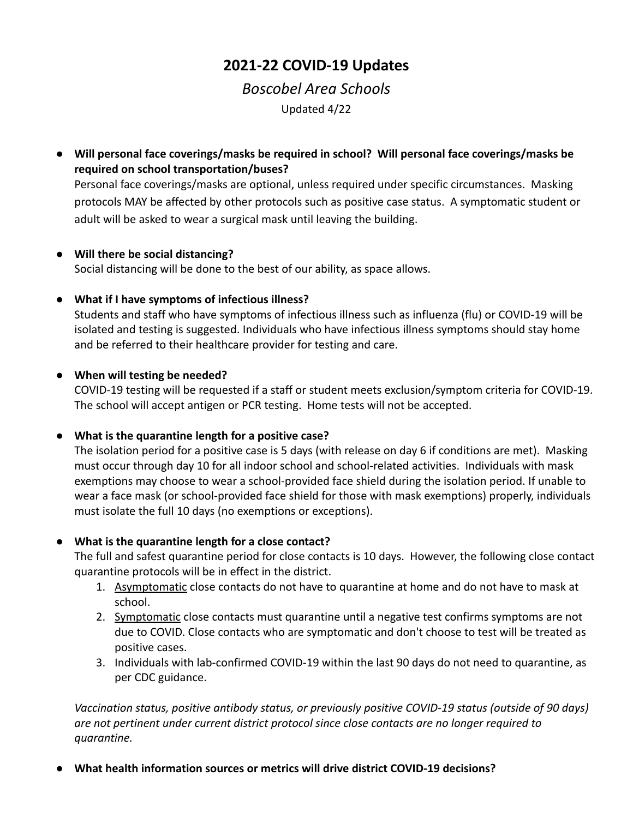# **2021-22 COVID-19 Updates**

# *Boscobel Area Schools*

Updated 4/22

● **Will personal face coverings/masks be required in school? Will personal face coverings/masks be required on school transportation/buses?**

Personal face coverings/masks are optional, unless required under specific circumstances. Masking protocols MAY be affected by other protocols such as positive case status. A symptomatic student or adult will be asked to wear a surgical mask until leaving the building.

### ● **Will there be social distancing?**

Social distancing will be done to the best of our ability, as space allows.

### **● What if I have symptoms of infectious illness?**

Students and staff who have symptoms of infectious illness such as influenza (flu) or COVID-19 will be isolated and testing is suggested. Individuals who have infectious illness symptoms should stay home and be referred to their healthcare provider for testing and care.

### **● When will testing be needed?**

COVID-19 testing will be requested if a staff or student meets exclusion/symptom criteria for COVID-19. The school will accept antigen or PCR testing. Home tests will not be accepted.

#### ● **What is the quarantine length for a positive case?**

The isolation period for a positive case is 5 days (with release on day 6 if conditions are met). Masking must occur through day 10 for all indoor school and school-related activities. Individuals with mask exemptions may choose to wear a school-provided face shield during the isolation period. If unable to wear a face mask (or school-provided face shield for those with mask exemptions) properly, individuals must isolate the full 10 days (no exemptions or exceptions).

## ● **What is the quarantine length for a close contact?**

The full and safest quarantine period for close contacts is 10 days. However, the following close contact quarantine protocols will be in effect in the district.

- 1. Asymptomatic close contacts do not have to quarantine at home and do not have to mask at school.
- 2. Symptomatic close contacts must quarantine until a negative test confirms symptoms are not due to COVID. Close contacts who are symptomatic and don't choose to test will be treated as positive cases.
- 3. Individuals with lab-confirmed COVID-19 within the last 90 days do not need to quarantine, as per CDC guidance.

*Vaccination status, positive antibody status, or previously positive COVID-19 status (outside of 90 days) are not pertinent under current district protocol since close contacts are no longer required to quarantine.*

● **What health information sources or metrics will drive district COVID-19 decisions?**